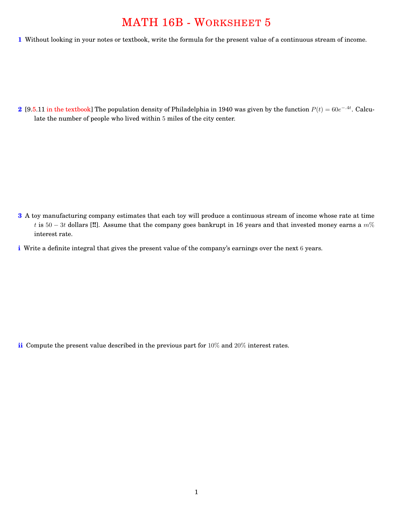## MATH 16B - WORKSHEET 5

**1** Without looking in your notes or textbook, write the formula for the present value of a continuous stream of income.

2 [9.5.11 in the textbook] The population density of Philadelphia in 1940 was given by the function  $P(t) = 60e^{-.4t}$ . Calculate the number of people who lived within 5 miles of the city center.

- **3** A toy manufacturing company estimates that each toy will produce a continuous stream of income whose rate at time *t* is  $50 - 3t$  dollars [!!]. Assume that the company goes bankrupt in 16 years and that invested money earns a  $m\%$ interest rate.
- **i** Write a definite integral that gives the present value of the company's earnings over the next 6 years.

**ii** Compute the present value described in the previous part for 10% and 20% interest rates.